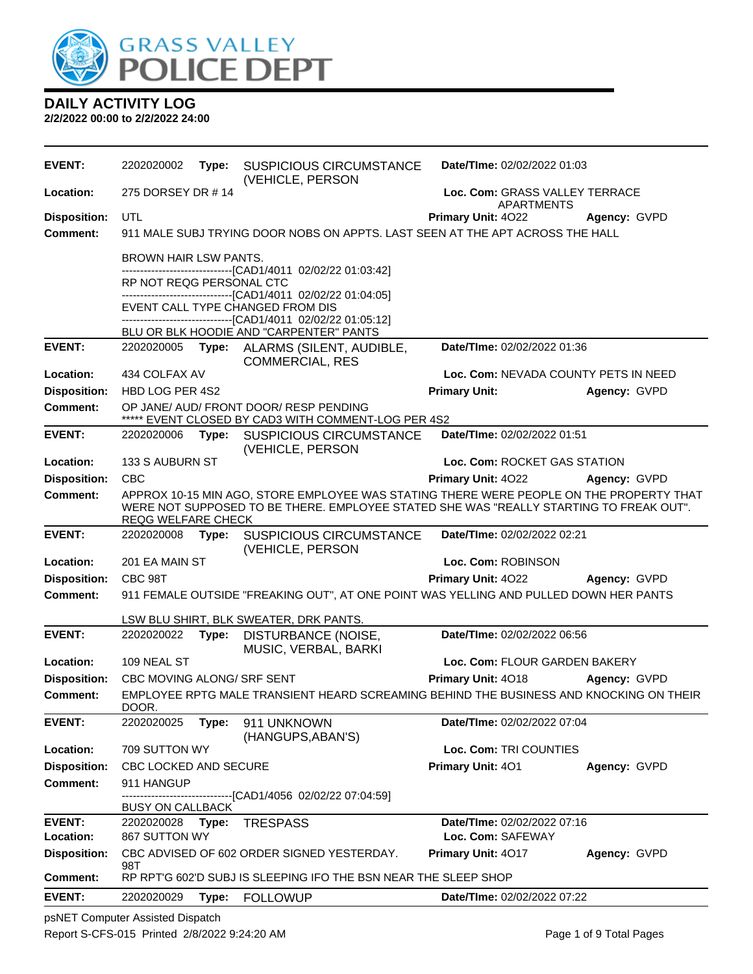

**2/2/2022 00:00 to 2/2/2022 24:00**

| 275 DORSEY DR #14<br>Location:<br>Loc. Com: GRASS VALLEY TERRACE<br><b>APARTMENTS</b><br>UTL<br><b>Disposition:</b><br><b>Primary Unit: 4022</b><br>Agency: GVPD<br>911 MALE SUBJ TRYING DOOR NOBS ON APPTS. LAST SEEN AT THE APT ACROSS THE HALL<br><b>Comment:</b><br><b>BROWN HAIR LSW PANTS.</b><br>-------------------------------[CAD1/4011 02/02/22 01:03:42]<br>RP NOT REQG PERSONAL CTC<br>-------------------------[CAD1/4011_02/02/22 01:04:05]<br>EVENT CALL TYPE CHANGED FROM DIS<br>---------------------------------[CAD1/4011_02/02/22_01:05:12]<br>BLU OR BLK HOODIE AND "CARPENTER" PANTS<br><b>EVENT:</b><br>Date/TIme: 02/02/2022 01:36<br>ALARMS (SILENT, AUDIBLE,<br>2202020005 <b>Type:</b><br><b>COMMERCIAL, RES</b><br>Loc. Com: NEVADA COUNTY PETS IN NEED<br>Location:<br>434 COLFAX AV<br><b>Disposition:</b><br><b>Primary Unit:</b><br>HBD LOG PER 4S2<br>Agency: GVPD<br>Comment:<br>OP JANE/ AUD/ FRONT DOOR/ RESP PENDING<br>***** EVENT CLOSED BY CAD3 WITH COMMENT-LOG PER 4S2<br><b>EVENT:</b><br>Date/TIme: 02/02/2022 01:51<br>2202020006<br>Type:<br><b>SUSPICIOUS CIRCUMSTANCE</b><br>(VEHICLE, PERSON<br>133 S AUBURN ST<br>Loc. Com: ROCKET GAS STATION<br>Location:<br><b>Disposition:</b><br><b>CBC</b><br>Primary Unit: 4022<br>Agency: GVPD<br>APPROX 10-15 MIN AGO, STORE EMPLOYEE WAS STATING THERE WERE PEOPLE ON THE PROPERTY THAT<br><b>Comment:</b><br>WERE NOT SUPPOSED TO BE THERE. EMPLOYEE STATED SHE WAS "REALLY STARTING TO FREAK OUT".<br><b>REQG WELFARE CHECK</b><br><b>EVENT:</b><br>Date/TIme: 02/02/2022 02:21<br>2202020008 Type:<br><b>SUSPICIOUS CIRCUMSTANCE</b><br>(VEHICLE, PERSON<br>Loc. Com: ROBINSON<br>Location:<br>201 EA MAIN ST<br><b>Disposition:</b><br>CBC 98T<br>Primary Unit: 4022<br>Agency: GVPD<br><b>Comment:</b><br>911 FEMALE OUTSIDE "FREAKING OUT", AT ONE POINT WAS YELLING AND PULLED DOWN HER PANTS<br>LSW BLU SHIRT, BLK SWEATER, DRK PANTS.<br><b>EVENT:</b><br>2202020022 Type:<br>Date/TIme: 02/02/2022 06:56<br>DISTURBANCE (NOISE,<br>MUSIC, VERBAL, BARKI<br>109 NEAL ST<br>Loc. Com: FLOUR GARDEN BAKERY<br>Location:<br><b>Disposition:</b><br>Primary Unit: 4018<br>CBC MOVING ALONG/ SRF SENT<br>Agency: GVPD<br>EMPLOYEE RPTG MALE TRANSIENT HEARD SCREAMING BEHIND THE BUSINESS AND KNOCKING ON THEIR<br>Comment:<br>DOOR.<br><b>EVENT:</b><br>Date/TIme: 02/02/2022 07:04<br>2202020025<br>Type:<br>911 UNKNOWN<br>(HANGUPS, ABAN'S)<br>709 SUTTON WY<br>Loc. Com: TRI COUNTIES<br>Location:<br><b>Disposition:</b><br>Primary Unit: 401<br><b>CBC LOCKED AND SECURE</b><br>Agency: GVPD<br><b>Comment:</b><br>911 HANGUP<br>-------------------------[CAD1/4056_02/02/22_07:04:59]<br><b>BUSY ON CALLBACK</b><br><b>EVENT:</b><br>Date/TIme: 02/02/2022 07:16<br>2202020028<br>Type:<br><b>TRESPASS</b><br>Loc. Com: SAFEWAY<br><b>Location:</b><br>867 SUTTON WY<br><b>Disposition:</b><br>CBC ADVISED OF 602 ORDER SIGNED YESTERDAY.<br>Primary Unit: 4017<br>Agency: GVPD<br>98T<br><b>Comment:</b><br>RP RPT'G 602'D SUBJ IS SLEEPING IFO THE BSN NEAR THE SLEEP SHOP<br><b>EVENT:</b><br>Date/TIme: 02/02/2022 07:22<br>2202020029<br>Type: FOLLOWUP | <b>EVENT:</b> | 2202020002 | Type: | <b>SUSPICIOUS CIRCUMSTANCE</b><br>(VEHICLE, PERSON | Date/TIme: 02/02/2022 01:03 |  |
|------------------------------------------------------------------------------------------------------------------------------------------------------------------------------------------------------------------------------------------------------------------------------------------------------------------------------------------------------------------------------------------------------------------------------------------------------------------------------------------------------------------------------------------------------------------------------------------------------------------------------------------------------------------------------------------------------------------------------------------------------------------------------------------------------------------------------------------------------------------------------------------------------------------------------------------------------------------------------------------------------------------------------------------------------------------------------------------------------------------------------------------------------------------------------------------------------------------------------------------------------------------------------------------------------------------------------------------------------------------------------------------------------------------------------------------------------------------------------------------------------------------------------------------------------------------------------------------------------------------------------------------------------------------------------------------------------------------------------------------------------------------------------------------------------------------------------------------------------------------------------------------------------------------------------------------------------------------------------------------------------------------------------------------------------------------------------------------------------------------------------------------------------------------------------------------------------------------------------------------------------------------------------------------------------------------------------------------------------------------------------------------------------------------------------------------------------------------------------------------------------------------------------------------------------------------------------------------------------------------------------------------------------------------------------------------------------------------------------------------------------------------------------------------------------------------------------------------------------------------------------------------------------------------------------------------------------------------------------------------------------------------------------------------------------------------------------------------------------------------------------------------------------------------------|---------------|------------|-------|----------------------------------------------------|-----------------------------|--|
|                                                                                                                                                                                                                                                                                                                                                                                                                                                                                                                                                                                                                                                                                                                                                                                                                                                                                                                                                                                                                                                                                                                                                                                                                                                                                                                                                                                                                                                                                                                                                                                                                                                                                                                                                                                                                                                                                                                                                                                                                                                                                                                                                                                                                                                                                                                                                                                                                                                                                                                                                                                                                                                                                                                                                                                                                                                                                                                                                                                                                                                                                                                                                                        |               |            |       |                                                    |                             |  |
|                                                                                                                                                                                                                                                                                                                                                                                                                                                                                                                                                                                                                                                                                                                                                                                                                                                                                                                                                                                                                                                                                                                                                                                                                                                                                                                                                                                                                                                                                                                                                                                                                                                                                                                                                                                                                                                                                                                                                                                                                                                                                                                                                                                                                                                                                                                                                                                                                                                                                                                                                                                                                                                                                                                                                                                                                                                                                                                                                                                                                                                                                                                                                                        |               |            |       |                                                    |                             |  |
|                                                                                                                                                                                                                                                                                                                                                                                                                                                                                                                                                                                                                                                                                                                                                                                                                                                                                                                                                                                                                                                                                                                                                                                                                                                                                                                                                                                                                                                                                                                                                                                                                                                                                                                                                                                                                                                                                                                                                                                                                                                                                                                                                                                                                                                                                                                                                                                                                                                                                                                                                                                                                                                                                                                                                                                                                                                                                                                                                                                                                                                                                                                                                                        |               |            |       |                                                    |                             |  |
|                                                                                                                                                                                                                                                                                                                                                                                                                                                                                                                                                                                                                                                                                                                                                                                                                                                                                                                                                                                                                                                                                                                                                                                                                                                                                                                                                                                                                                                                                                                                                                                                                                                                                                                                                                                                                                                                                                                                                                                                                                                                                                                                                                                                                                                                                                                                                                                                                                                                                                                                                                                                                                                                                                                                                                                                                                                                                                                                                                                                                                                                                                                                                                        |               |            |       |                                                    |                             |  |
|                                                                                                                                                                                                                                                                                                                                                                                                                                                                                                                                                                                                                                                                                                                                                                                                                                                                                                                                                                                                                                                                                                                                                                                                                                                                                                                                                                                                                                                                                                                                                                                                                                                                                                                                                                                                                                                                                                                                                                                                                                                                                                                                                                                                                                                                                                                                                                                                                                                                                                                                                                                                                                                                                                                                                                                                                                                                                                                                                                                                                                                                                                                                                                        |               |            |       |                                                    |                             |  |
|                                                                                                                                                                                                                                                                                                                                                                                                                                                                                                                                                                                                                                                                                                                                                                                                                                                                                                                                                                                                                                                                                                                                                                                                                                                                                                                                                                                                                                                                                                                                                                                                                                                                                                                                                                                                                                                                                                                                                                                                                                                                                                                                                                                                                                                                                                                                                                                                                                                                                                                                                                                                                                                                                                                                                                                                                                                                                                                                                                                                                                                                                                                                                                        |               |            |       |                                                    |                             |  |
|                                                                                                                                                                                                                                                                                                                                                                                                                                                                                                                                                                                                                                                                                                                                                                                                                                                                                                                                                                                                                                                                                                                                                                                                                                                                                                                                                                                                                                                                                                                                                                                                                                                                                                                                                                                                                                                                                                                                                                                                                                                                                                                                                                                                                                                                                                                                                                                                                                                                                                                                                                                                                                                                                                                                                                                                                                                                                                                                                                                                                                                                                                                                                                        |               |            |       |                                                    |                             |  |
|                                                                                                                                                                                                                                                                                                                                                                                                                                                                                                                                                                                                                                                                                                                                                                                                                                                                                                                                                                                                                                                                                                                                                                                                                                                                                                                                                                                                                                                                                                                                                                                                                                                                                                                                                                                                                                                                                                                                                                                                                                                                                                                                                                                                                                                                                                                                                                                                                                                                                                                                                                                                                                                                                                                                                                                                                                                                                                                                                                                                                                                                                                                                                                        |               |            |       |                                                    |                             |  |
|                                                                                                                                                                                                                                                                                                                                                                                                                                                                                                                                                                                                                                                                                                                                                                                                                                                                                                                                                                                                                                                                                                                                                                                                                                                                                                                                                                                                                                                                                                                                                                                                                                                                                                                                                                                                                                                                                                                                                                                                                                                                                                                                                                                                                                                                                                                                                                                                                                                                                                                                                                                                                                                                                                                                                                                                                                                                                                                                                                                                                                                                                                                                                                        |               |            |       |                                                    |                             |  |
|                                                                                                                                                                                                                                                                                                                                                                                                                                                                                                                                                                                                                                                                                                                                                                                                                                                                                                                                                                                                                                                                                                                                                                                                                                                                                                                                                                                                                                                                                                                                                                                                                                                                                                                                                                                                                                                                                                                                                                                                                                                                                                                                                                                                                                                                                                                                                                                                                                                                                                                                                                                                                                                                                                                                                                                                                                                                                                                                                                                                                                                                                                                                                                        |               |            |       |                                                    |                             |  |
|                                                                                                                                                                                                                                                                                                                                                                                                                                                                                                                                                                                                                                                                                                                                                                                                                                                                                                                                                                                                                                                                                                                                                                                                                                                                                                                                                                                                                                                                                                                                                                                                                                                                                                                                                                                                                                                                                                                                                                                                                                                                                                                                                                                                                                                                                                                                                                                                                                                                                                                                                                                                                                                                                                                                                                                                                                                                                                                                                                                                                                                                                                                                                                        |               |            |       |                                                    |                             |  |
|                                                                                                                                                                                                                                                                                                                                                                                                                                                                                                                                                                                                                                                                                                                                                                                                                                                                                                                                                                                                                                                                                                                                                                                                                                                                                                                                                                                                                                                                                                                                                                                                                                                                                                                                                                                                                                                                                                                                                                                                                                                                                                                                                                                                                                                                                                                                                                                                                                                                                                                                                                                                                                                                                                                                                                                                                                                                                                                                                                                                                                                                                                                                                                        |               |            |       |                                                    |                             |  |
|                                                                                                                                                                                                                                                                                                                                                                                                                                                                                                                                                                                                                                                                                                                                                                                                                                                                                                                                                                                                                                                                                                                                                                                                                                                                                                                                                                                                                                                                                                                                                                                                                                                                                                                                                                                                                                                                                                                                                                                                                                                                                                                                                                                                                                                                                                                                                                                                                                                                                                                                                                                                                                                                                                                                                                                                                                                                                                                                                                                                                                                                                                                                                                        |               |            |       |                                                    |                             |  |
|                                                                                                                                                                                                                                                                                                                                                                                                                                                                                                                                                                                                                                                                                                                                                                                                                                                                                                                                                                                                                                                                                                                                                                                                                                                                                                                                                                                                                                                                                                                                                                                                                                                                                                                                                                                                                                                                                                                                                                                                                                                                                                                                                                                                                                                                                                                                                                                                                                                                                                                                                                                                                                                                                                                                                                                                                                                                                                                                                                                                                                                                                                                                                                        |               |            |       |                                                    |                             |  |
|                                                                                                                                                                                                                                                                                                                                                                                                                                                                                                                                                                                                                                                                                                                                                                                                                                                                                                                                                                                                                                                                                                                                                                                                                                                                                                                                                                                                                                                                                                                                                                                                                                                                                                                                                                                                                                                                                                                                                                                                                                                                                                                                                                                                                                                                                                                                                                                                                                                                                                                                                                                                                                                                                                                                                                                                                                                                                                                                                                                                                                                                                                                                                                        |               |            |       |                                                    |                             |  |
|                                                                                                                                                                                                                                                                                                                                                                                                                                                                                                                                                                                                                                                                                                                                                                                                                                                                                                                                                                                                                                                                                                                                                                                                                                                                                                                                                                                                                                                                                                                                                                                                                                                                                                                                                                                                                                                                                                                                                                                                                                                                                                                                                                                                                                                                                                                                                                                                                                                                                                                                                                                                                                                                                                                                                                                                                                                                                                                                                                                                                                                                                                                                                                        |               |            |       |                                                    |                             |  |
|                                                                                                                                                                                                                                                                                                                                                                                                                                                                                                                                                                                                                                                                                                                                                                                                                                                                                                                                                                                                                                                                                                                                                                                                                                                                                                                                                                                                                                                                                                                                                                                                                                                                                                                                                                                                                                                                                                                                                                                                                                                                                                                                                                                                                                                                                                                                                                                                                                                                                                                                                                                                                                                                                                                                                                                                                                                                                                                                                                                                                                                                                                                                                                        |               |            |       |                                                    |                             |  |
|                                                                                                                                                                                                                                                                                                                                                                                                                                                                                                                                                                                                                                                                                                                                                                                                                                                                                                                                                                                                                                                                                                                                                                                                                                                                                                                                                                                                                                                                                                                                                                                                                                                                                                                                                                                                                                                                                                                                                                                                                                                                                                                                                                                                                                                                                                                                                                                                                                                                                                                                                                                                                                                                                                                                                                                                                                                                                                                                                                                                                                                                                                                                                                        |               |            |       |                                                    |                             |  |
|                                                                                                                                                                                                                                                                                                                                                                                                                                                                                                                                                                                                                                                                                                                                                                                                                                                                                                                                                                                                                                                                                                                                                                                                                                                                                                                                                                                                                                                                                                                                                                                                                                                                                                                                                                                                                                                                                                                                                                                                                                                                                                                                                                                                                                                                                                                                                                                                                                                                                                                                                                                                                                                                                                                                                                                                                                                                                                                                                                                                                                                                                                                                                                        |               |            |       |                                                    |                             |  |
|                                                                                                                                                                                                                                                                                                                                                                                                                                                                                                                                                                                                                                                                                                                                                                                                                                                                                                                                                                                                                                                                                                                                                                                                                                                                                                                                                                                                                                                                                                                                                                                                                                                                                                                                                                                                                                                                                                                                                                                                                                                                                                                                                                                                                                                                                                                                                                                                                                                                                                                                                                                                                                                                                                                                                                                                                                                                                                                                                                                                                                                                                                                                                                        |               |            |       |                                                    |                             |  |
|                                                                                                                                                                                                                                                                                                                                                                                                                                                                                                                                                                                                                                                                                                                                                                                                                                                                                                                                                                                                                                                                                                                                                                                                                                                                                                                                                                                                                                                                                                                                                                                                                                                                                                                                                                                                                                                                                                                                                                                                                                                                                                                                                                                                                                                                                                                                                                                                                                                                                                                                                                                                                                                                                                                                                                                                                                                                                                                                                                                                                                                                                                                                                                        |               |            |       |                                                    |                             |  |
|                                                                                                                                                                                                                                                                                                                                                                                                                                                                                                                                                                                                                                                                                                                                                                                                                                                                                                                                                                                                                                                                                                                                                                                                                                                                                                                                                                                                                                                                                                                                                                                                                                                                                                                                                                                                                                                                                                                                                                                                                                                                                                                                                                                                                                                                                                                                                                                                                                                                                                                                                                                                                                                                                                                                                                                                                                                                                                                                                                                                                                                                                                                                                                        |               |            |       |                                                    |                             |  |
|                                                                                                                                                                                                                                                                                                                                                                                                                                                                                                                                                                                                                                                                                                                                                                                                                                                                                                                                                                                                                                                                                                                                                                                                                                                                                                                                                                                                                                                                                                                                                                                                                                                                                                                                                                                                                                                                                                                                                                                                                                                                                                                                                                                                                                                                                                                                                                                                                                                                                                                                                                                                                                                                                                                                                                                                                                                                                                                                                                                                                                                                                                                                                                        |               |            |       |                                                    |                             |  |
|                                                                                                                                                                                                                                                                                                                                                                                                                                                                                                                                                                                                                                                                                                                                                                                                                                                                                                                                                                                                                                                                                                                                                                                                                                                                                                                                                                                                                                                                                                                                                                                                                                                                                                                                                                                                                                                                                                                                                                                                                                                                                                                                                                                                                                                                                                                                                                                                                                                                                                                                                                                                                                                                                                                                                                                                                                                                                                                                                                                                                                                                                                                                                                        |               |            |       |                                                    |                             |  |
|                                                                                                                                                                                                                                                                                                                                                                                                                                                                                                                                                                                                                                                                                                                                                                                                                                                                                                                                                                                                                                                                                                                                                                                                                                                                                                                                                                                                                                                                                                                                                                                                                                                                                                                                                                                                                                                                                                                                                                                                                                                                                                                                                                                                                                                                                                                                                                                                                                                                                                                                                                                                                                                                                                                                                                                                                                                                                                                                                                                                                                                                                                                                                                        |               |            |       |                                                    |                             |  |
|                                                                                                                                                                                                                                                                                                                                                                                                                                                                                                                                                                                                                                                                                                                                                                                                                                                                                                                                                                                                                                                                                                                                                                                                                                                                                                                                                                                                                                                                                                                                                                                                                                                                                                                                                                                                                                                                                                                                                                                                                                                                                                                                                                                                                                                                                                                                                                                                                                                                                                                                                                                                                                                                                                                                                                                                                                                                                                                                                                                                                                                                                                                                                                        |               |            |       |                                                    |                             |  |
|                                                                                                                                                                                                                                                                                                                                                                                                                                                                                                                                                                                                                                                                                                                                                                                                                                                                                                                                                                                                                                                                                                                                                                                                                                                                                                                                                                                                                                                                                                                                                                                                                                                                                                                                                                                                                                                                                                                                                                                                                                                                                                                                                                                                                                                                                                                                                                                                                                                                                                                                                                                                                                                                                                                                                                                                                                                                                                                                                                                                                                                                                                                                                                        |               |            |       |                                                    |                             |  |
|                                                                                                                                                                                                                                                                                                                                                                                                                                                                                                                                                                                                                                                                                                                                                                                                                                                                                                                                                                                                                                                                                                                                                                                                                                                                                                                                                                                                                                                                                                                                                                                                                                                                                                                                                                                                                                                                                                                                                                                                                                                                                                                                                                                                                                                                                                                                                                                                                                                                                                                                                                                                                                                                                                                                                                                                                                                                                                                                                                                                                                                                                                                                                                        |               |            |       |                                                    |                             |  |
|                                                                                                                                                                                                                                                                                                                                                                                                                                                                                                                                                                                                                                                                                                                                                                                                                                                                                                                                                                                                                                                                                                                                                                                                                                                                                                                                                                                                                                                                                                                                                                                                                                                                                                                                                                                                                                                                                                                                                                                                                                                                                                                                                                                                                                                                                                                                                                                                                                                                                                                                                                                                                                                                                                                                                                                                                                                                                                                                                                                                                                                                                                                                                                        |               |            |       |                                                    |                             |  |
|                                                                                                                                                                                                                                                                                                                                                                                                                                                                                                                                                                                                                                                                                                                                                                                                                                                                                                                                                                                                                                                                                                                                                                                                                                                                                                                                                                                                                                                                                                                                                                                                                                                                                                                                                                                                                                                                                                                                                                                                                                                                                                                                                                                                                                                                                                                                                                                                                                                                                                                                                                                                                                                                                                                                                                                                                                                                                                                                                                                                                                                                                                                                                                        |               |            |       |                                                    |                             |  |
|                                                                                                                                                                                                                                                                                                                                                                                                                                                                                                                                                                                                                                                                                                                                                                                                                                                                                                                                                                                                                                                                                                                                                                                                                                                                                                                                                                                                                                                                                                                                                                                                                                                                                                                                                                                                                                                                                                                                                                                                                                                                                                                                                                                                                                                                                                                                                                                                                                                                                                                                                                                                                                                                                                                                                                                                                                                                                                                                                                                                                                                                                                                                                                        |               |            |       |                                                    |                             |  |
|                                                                                                                                                                                                                                                                                                                                                                                                                                                                                                                                                                                                                                                                                                                                                                                                                                                                                                                                                                                                                                                                                                                                                                                                                                                                                                                                                                                                                                                                                                                                                                                                                                                                                                                                                                                                                                                                                                                                                                                                                                                                                                                                                                                                                                                                                                                                                                                                                                                                                                                                                                                                                                                                                                                                                                                                                                                                                                                                                                                                                                                                                                                                                                        |               |            |       |                                                    |                             |  |
|                                                                                                                                                                                                                                                                                                                                                                                                                                                                                                                                                                                                                                                                                                                                                                                                                                                                                                                                                                                                                                                                                                                                                                                                                                                                                                                                                                                                                                                                                                                                                                                                                                                                                                                                                                                                                                                                                                                                                                                                                                                                                                                                                                                                                                                                                                                                                                                                                                                                                                                                                                                                                                                                                                                                                                                                                                                                                                                                                                                                                                                                                                                                                                        |               |            |       |                                                    |                             |  |
|                                                                                                                                                                                                                                                                                                                                                                                                                                                                                                                                                                                                                                                                                                                                                                                                                                                                                                                                                                                                                                                                                                                                                                                                                                                                                                                                                                                                                                                                                                                                                                                                                                                                                                                                                                                                                                                                                                                                                                                                                                                                                                                                                                                                                                                                                                                                                                                                                                                                                                                                                                                                                                                                                                                                                                                                                                                                                                                                                                                                                                                                                                                                                                        |               |            |       |                                                    |                             |  |

psNET Computer Assisted Dispatch Report S-CFS-015 Printed 2/8/2022 9:24:20 AM Page 1 of 9 Total Pages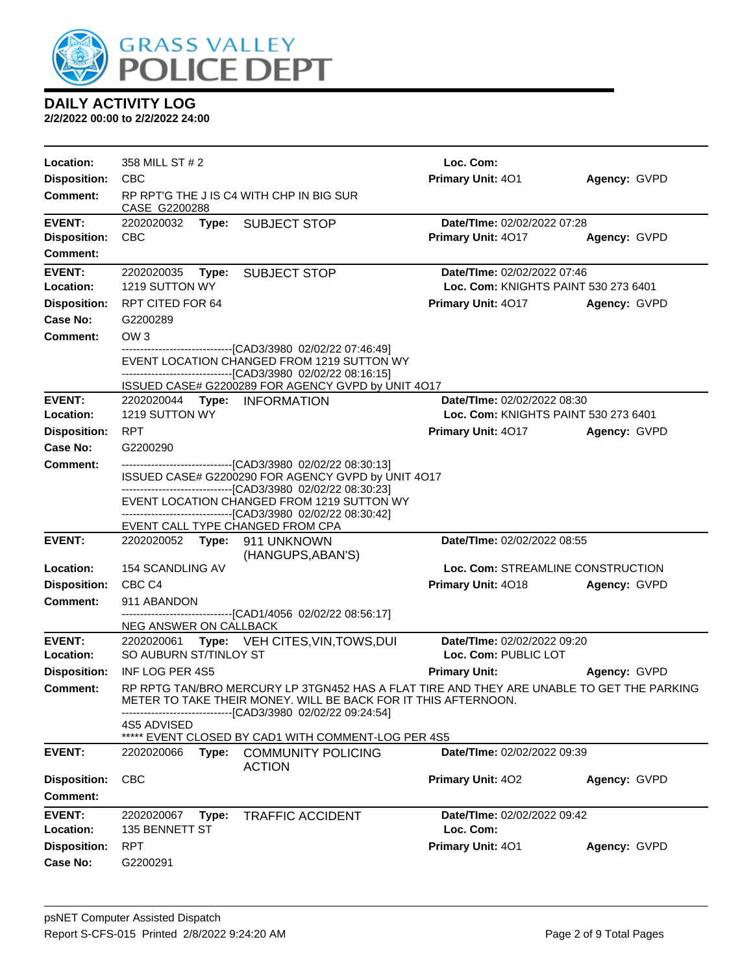

| Location:           | 358 MILL ST # 2                  |                                                                                                                                                                                                             | Loc. Com:                            |              |
|---------------------|----------------------------------|-------------------------------------------------------------------------------------------------------------------------------------------------------------------------------------------------------------|--------------------------------------|--------------|
| <b>Disposition:</b> | <b>CBC</b>                       |                                                                                                                                                                                                             | Primary Unit: 401                    | Agency: GVPD |
| <b>Comment:</b>     | CASE G2200288                    | RP RPT'G THE J IS C4 WITH CHP IN BIG SUR                                                                                                                                                                    |                                      |              |
| <b>EVENT:</b>       | 2202020032                       | <b>Type: SUBJECT STOP</b>                                                                                                                                                                                   | Date/TIme: 02/02/2022 07:28          |              |
| <b>Disposition:</b> | <b>CBC</b>                       |                                                                                                                                                                                                             | Primary Unit: 4017                   | Agency: GVPD |
| <b>Comment:</b>     |                                  |                                                                                                                                                                                                             |                                      |              |
| <b>EVENT:</b>       | 2202020035                       | Type: SUBJECT STOP                                                                                                                                                                                          | Date/TIme: 02/02/2022 07:46          |              |
| Location:           | 1219 SUTTON WY                   |                                                                                                                                                                                                             | Loc. Com: KNIGHTS PAINT 530 273 6401 |              |
| <b>Disposition:</b> | RPT CITED FOR 64                 |                                                                                                                                                                                                             | <b>Primary Unit: 4017</b>            | Agency: GVPD |
| Case No:            | G2200289                         |                                                                                                                                                                                                             |                                      |              |
| Comment:            | OW <sub>3</sub>                  |                                                                                                                                                                                                             |                                      |              |
|                     |                                  | -------------------------------[CAD3/3980_02/02/22_07:46:49]<br>EVENT LOCATION CHANGED FROM 1219 SUTTON WY<br>--------------------------------[CAD3/3980_02/02/22_08:16:15]                                 |                                      |              |
|                     |                                  | ISSUED CASE# G2200289 FOR AGENCY GVPD by UNIT 4O17                                                                                                                                                          |                                      |              |
| <b>EVENT:</b>       | 2202020044 Type: INFORMATION     |                                                                                                                                                                                                             | Date/TIme: 02/02/2022 08:30          |              |
| Location:           | 1219 SUTTON WY                   |                                                                                                                                                                                                             | Loc. Com: KNIGHTS PAINT 530 273 6401 |              |
| <b>Disposition:</b> | <b>RPT</b>                       |                                                                                                                                                                                                             | <b>Primary Unit: 4017</b>            | Agency: GVPD |
| Case No:            | G2200290                         |                                                                                                                                                                                                             |                                      |              |
| <b>Comment:</b>     |                                  | -------------------------------[CAD3/3980 02/02/22 08:30:13]                                                                                                                                                |                                      |              |
|                     |                                  | ISSUED CASE# G2200290 FOR AGENCY GVPD by UNIT 4O17<br>--------------------------------[CAD3/3980 02/02/22 08:30:23]                                                                                         |                                      |              |
|                     |                                  | EVENT LOCATION CHANGED FROM 1219 SUTTON WY                                                                                                                                                                  |                                      |              |
|                     | EVENT CALL TYPE CHANGED FROM CPA | -------------------------------[CAD3/3980 02/02/22 08:30:42]                                                                                                                                                |                                      |              |
| <b>EVENT:</b>       | 2202020052 Type: 911 UNKNOWN     |                                                                                                                                                                                                             | Date/TIme: 02/02/2022 08:55          |              |
|                     |                                  | (HANGUPS, ABAN'S)                                                                                                                                                                                           |                                      |              |
| Location:           | 154 SCANDLING AV                 |                                                                                                                                                                                                             | Loc. Com: STREAMLINE CONSTRUCTION    |              |
| <b>Disposition:</b> | CBC <sub>C4</sub>                |                                                                                                                                                                                                             | Primary Unit: 4018                   | Agency: GVPD |
| <b>Comment:</b>     | 911 ABANDON                      |                                                                                                                                                                                                             |                                      |              |
|                     | NEG ANSWER ON CALLBACK           | -------------------------------[CAD1/4056 02/02/22 08:56:17]                                                                                                                                                |                                      |              |
| <b>EVENT:</b>       |                                  | 2202020061 Type: VEH CITES, VIN, TOWS, DUI                                                                                                                                                                  | Date/TIme: 02/02/2022 09:20          |              |
| Location:           | SO AUBURN ST/TINLOY ST           |                                                                                                                                                                                                             | Loc. Com: PUBLIC LOT                 |              |
| <b>Disposition:</b> | <b>INF LOG PER 4S5</b>           |                                                                                                                                                                                                             | <b>Primary Unit:</b>                 | Agency: GVPD |
| Comment:            |                                  | RP RPTG TAN/BRO MERCURY LP 3TGN452 HAS A FLAT TIRE AND THEY ARE UNABLE TO GET THE PARKING<br>METER TO TAKE THEIR MONEY. WILL BE BACK FOR IT THIS AFTERNOON.<br>---------------[CAD3/3980_02/02/22_09:24:54] |                                      |              |
|                     | 4S5 ADVISED                      | ***** EVENT CLOSED BY CAD1 WITH COMMENT-LOG PER 4S5                                                                                                                                                         |                                      |              |
| <b>EVENT:</b>       | 2202020066                       | Type: COMMUNITY POLICING<br><b>ACTION</b>                                                                                                                                                                   | Date/TIme: 02/02/2022 09:39          |              |
| <b>Disposition:</b> | <b>CBC</b>                       |                                                                                                                                                                                                             | Primary Unit: 402                    | Agency: GVPD |
| <b>Comment:</b>     |                                  |                                                                                                                                                                                                             |                                      |              |
| <b>EVENT:</b>       | 2202020067<br>Type:              | <b>TRAFFIC ACCIDENT</b>                                                                                                                                                                                     | Date/TIme: 02/02/2022 09:42          |              |
| Location:           | 135 BENNETT ST                   |                                                                                                                                                                                                             | Loc. Com:                            |              |
| <b>Disposition:</b> | <b>RPT</b>                       |                                                                                                                                                                                                             | Primary Unit: 401                    | Agency: GVPD |
| Case No:            | G2200291                         |                                                                                                                                                                                                             |                                      |              |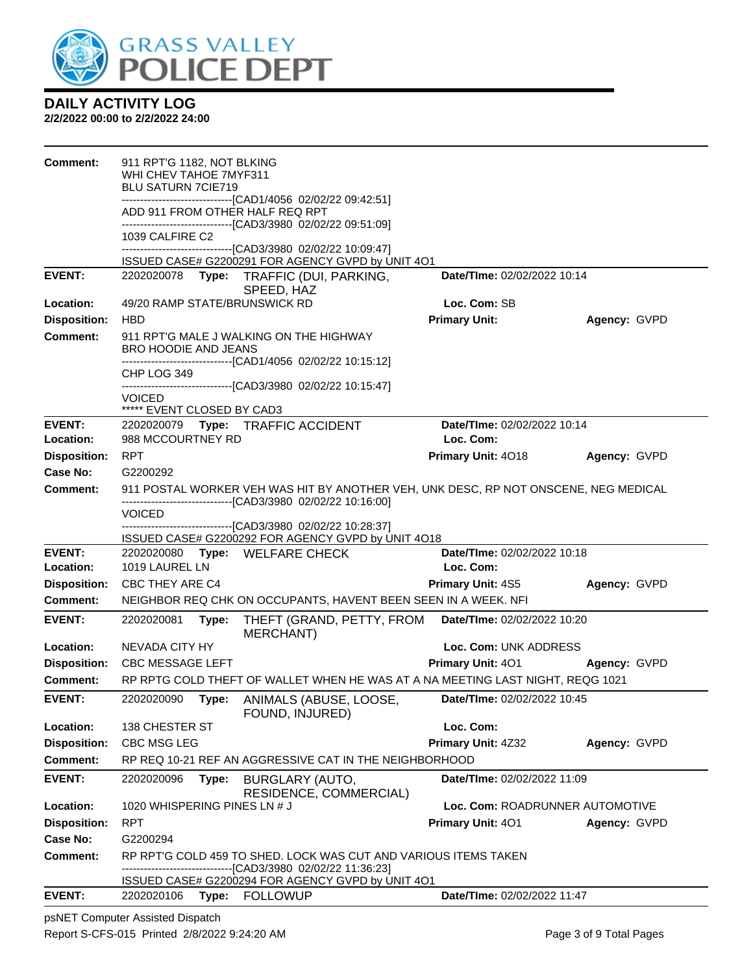

**2/2/2022 00:00 to 2/2/2022 24:00**

| <b>Comment:</b>            | 911 RPT'G 1182, NOT BLKING<br>WHI CHEV TAHOE 7MYF311<br><b>BLU SATURN 7CIE719</b> |       |                                                                                                                                                          |                                          |                                 |
|----------------------------|-----------------------------------------------------------------------------------|-------|----------------------------------------------------------------------------------------------------------------------------------------------------------|------------------------------------------|---------------------------------|
|                            |                                                                                   |       | -------------------------------[CAD1/4056 02/02/22 09:42:51]<br>ADD 911 FROM OTHER HALF REQ RPT                                                          |                                          |                                 |
|                            | 1039 CALFIRE C2                                                                   |       | -------------------------------[CAD3/3980_02/02/22_09:51:09]                                                                                             |                                          |                                 |
|                            |                                                                                   |       | --------------------------------[CAD3/3980_02/02/22 10:09:47]<br>ISSUED CASE# G2200291 FOR AGENCY GVPD by UNIT 4O1                                       |                                          |                                 |
| <b>EVENT:</b>              |                                                                                   |       | 2202020078 Type: TRAFFIC (DUI, PARKING,                                                                                                                  | Date/TIme: 02/02/2022 10:14              |                                 |
|                            |                                                                                   |       | SPEED, HAZ                                                                                                                                               |                                          |                                 |
| Location:                  | 49/20 RAMP STATE/BRUNSWICK RD                                                     |       |                                                                                                                                                          | Loc. Com: SB                             |                                 |
| <b>Disposition:</b>        | <b>HBD</b>                                                                        |       |                                                                                                                                                          | <b>Primary Unit:</b>                     | Agency: GVPD                    |
| <b>Comment:</b>            | <b>BRO HOODIE AND JEANS</b>                                                       |       | 911 RPT'G MALE J WALKING ON THE HIGHWAY                                                                                                                  |                                          |                                 |
|                            |                                                                                   |       | -------------------------------[CAD1/4056_02/02/22 10:15:12]                                                                                             |                                          |                                 |
|                            | CHP LOG 349                                                                       |       | -------------------------------[CAD3/3980 02/02/22 10:15:47]                                                                                             |                                          |                                 |
|                            | VOICED<br>***** EVENT CLOSED BY CAD3                                              |       |                                                                                                                                                          |                                          |                                 |
| <b>EVENT:</b><br>Location: | 988 MCCOURTNEY RD                                                                 |       | 2202020079 Type: TRAFFIC ACCIDENT                                                                                                                        | Date/TIme: 02/02/2022 10:14<br>Loc. Com: |                                 |
| <b>Disposition:</b>        | <b>RPT</b>                                                                        |       |                                                                                                                                                          | Primary Unit: 4018                       | Agency: GVPD                    |
| Case No:                   | G2200292                                                                          |       |                                                                                                                                                          |                                          |                                 |
| Comment:                   |                                                                                   |       | 911 POSTAL WORKER VEH WAS HIT BY ANOTHER VEH, UNK DESC, RP NOT ONSCENE, NEG MEDICAL<br>------------------------------[CAD3/3980 02/02/22 10:16:00]       |                                          |                                 |
|                            | VOICED                                                                            |       |                                                                                                                                                          |                                          |                                 |
|                            |                                                                                   |       | -------------------------------[CAD3/3980 02/02/22 10:28:37]<br>ISSUED CASE# G2200292 FOR AGENCY GVPD by UNIT 4O18                                       |                                          |                                 |
| <b>EVENT:</b>              |                                                                                   |       | 2202020080 Type: WELFARE CHECK                                                                                                                           | Date/TIme: 02/02/2022 10:18              |                                 |
| Location:                  | 1019 LAUREL LN                                                                    |       |                                                                                                                                                          | Loc. Com:                                |                                 |
| <b>Disposition:</b>        | CBC THEY ARE C4                                                                   |       |                                                                                                                                                          | <b>Primary Unit: 4S5</b>                 | Agency: GVPD                    |
| <b>Comment:</b>            |                                                                                   |       | NEIGHBOR REQ CHK ON OCCUPANTS, HAVENT BEEN SEEN IN A WEEK. NFI                                                                                           |                                          |                                 |
| <b>EVENT:</b>              | 2202020081                                                                        | Type: | THEFT (GRAND, PETTY, FROM<br>MERCHANT)                                                                                                                   | Date/TIme: 02/02/2022 10:20              |                                 |
| Location:                  | NEVADA CITY HY                                                                    |       |                                                                                                                                                          | Loc. Com: UNK ADDRESS                    |                                 |
| <b>Disposition:</b>        | <b>CBC MESSAGE LEFT</b>                                                           |       |                                                                                                                                                          | <b>Primary Unit: 401</b>                 | Agency: GVPD                    |
| Comment:                   |                                                                                   |       | RP RPTG COLD THEFT OF WALLET WHEN HE WAS AT A NA MEETING LAST NIGHT, REQG 1021                                                                           |                                          |                                 |
| <b>EVENT:</b>              | 2202020090                                                                        | Type: | ANIMALS (ABUSE, LOOSE<br>FOUND, INJURED)                                                                                                                 | Date/TIme: 02/02/2022 10:45              |                                 |
| Location:                  | 138 CHESTER ST                                                                    |       |                                                                                                                                                          | Loc. Com:                                |                                 |
| <b>Disposition:</b>        | CBC MSG LEG                                                                       |       |                                                                                                                                                          | Primary Unit: 4Z32                       | Agency: GVPD                    |
| Comment:                   |                                                                                   |       | RP REQ 10-21 REF AN AGGRESSIVE CAT IN THE NEIGHBORHOOD                                                                                                   |                                          |                                 |
| <b>EVENT:</b>              | 2202020096                                                                        | Type: | BURGLARY (AUTO,<br>RESIDENCE, COMMERCIAL)                                                                                                                | Date/TIme: 02/02/2022 11:09              |                                 |
| Location:                  | 1020 WHISPERING PINES LN # J                                                      |       |                                                                                                                                                          |                                          | Loc. Com: ROADRUNNER AUTOMOTIVE |
| <b>Disposition:</b>        | <b>RPT</b>                                                                        |       |                                                                                                                                                          | <b>Primary Unit: 401</b>                 | Agency: GVPD                    |
| <b>Case No:</b>            |                                                                                   |       |                                                                                                                                                          |                                          |                                 |
|                            | G2200294                                                                          |       |                                                                                                                                                          |                                          |                                 |
| <b>Comment:</b>            |                                                                                   |       | RP RPT'G COLD 459 TO SHED. LOCK WAS CUT AND VARIOUS ITEMS TAKEN<br>---[CAD3/3980 02/02/22 11:36:23]<br>ISSUED CASE# G2200294 FOR AGENCY GVPD by UNIT 4O1 |                                          |                                 |

psNET Computer Assisted Dispatch Report S-CFS-015 Printed 2/8/2022 9:24:20 AM Page 3 of 9 Total Pages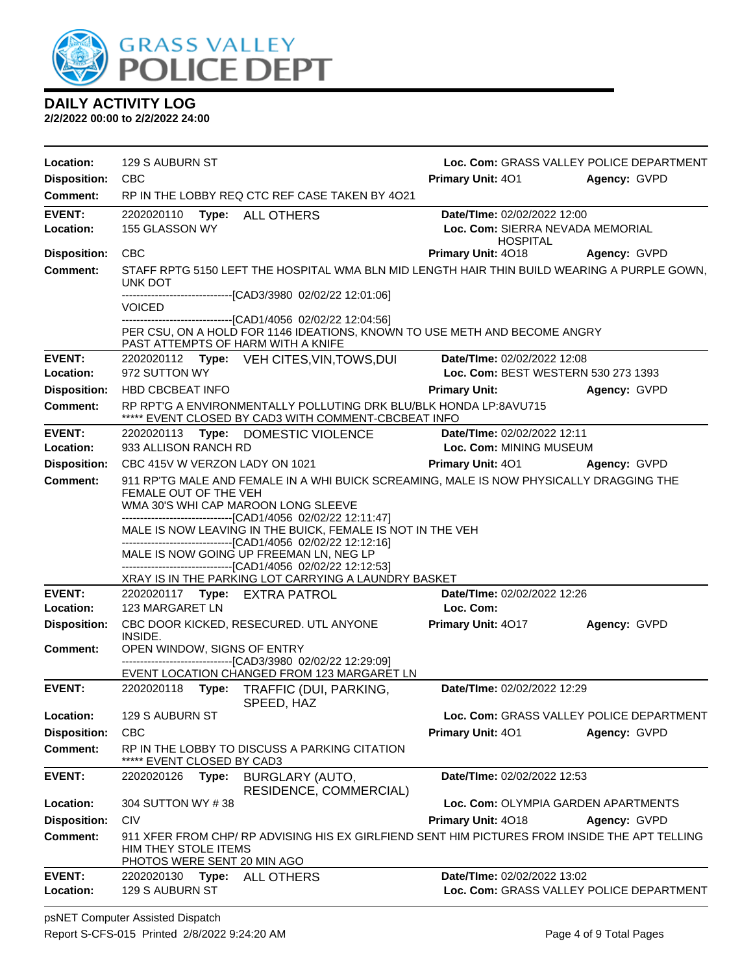

**2/2/2022 00:00 to 2/2/2022 24:00**

| Location:                       | 129 S AUBURN ST                                                                                                                                                                                                                                                                                                                                                                                                               | Loc. Com: GRASS VALLEY POLICE DEPARTMENT                                                      |
|---------------------------------|-------------------------------------------------------------------------------------------------------------------------------------------------------------------------------------------------------------------------------------------------------------------------------------------------------------------------------------------------------------------------------------------------------------------------------|-----------------------------------------------------------------------------------------------|
| <b>Disposition:</b>             | <b>CBC</b>                                                                                                                                                                                                                                                                                                                                                                                                                    | <b>Primary Unit: 401</b><br>Agency: GVPD                                                      |
| Comment:                        | RP IN THE LOBBY REQ CTC REF CASE TAKEN BY 4021                                                                                                                                                                                                                                                                                                                                                                                |                                                                                               |
| <b>EVENT:</b><br>Location:      | 2202020110 Type: ALL OTHERS<br>155 GLASSON WY                                                                                                                                                                                                                                                                                                                                                                                 | Date/TIme: 02/02/2022 12:00<br>Loc. Com: SIERRA NEVADA MEMORIAL<br><b>HOSPITAL</b>            |
| <b>Disposition:</b>             | <b>CBC</b>                                                                                                                                                                                                                                                                                                                                                                                                                    | Primary Unit: 4018<br><b>Agency: GVPD</b>                                                     |
| Comment:                        | UNK DOT<br>------------------------------[CAD3/3980 02/02/22 12:01:06]                                                                                                                                                                                                                                                                                                                                                        | STAFF RPTG 5150 LEFT THE HOSPITAL WMA BLN MID LENGTH HAIR THIN BUILD WEARING A PURPLE GOWN,   |
|                                 | VOICED<br>-------------------------[CAD1/4056 02/02/22 12:04:56]                                                                                                                                                                                                                                                                                                                                                              |                                                                                               |
|                                 | PAST ATTEMPTS OF HARM WITH A KNIFE                                                                                                                                                                                                                                                                                                                                                                                            | PER CSU, ON A HOLD FOR 1146 IDEATIONS, KNOWN TO USE METH AND BECOME ANGRY                     |
| <b>EVENT:</b>                   | 2202020112 Type: VEH CITES, VIN, TOWS, DUI                                                                                                                                                                                                                                                                                                                                                                                    | Date/TIme: 02/02/2022 12:08                                                                   |
| Location:                       | 972 SUTTON WY                                                                                                                                                                                                                                                                                                                                                                                                                 | Loc. Com: BEST WESTERN 530 273 1393                                                           |
| <b>Disposition:</b><br>Comment: | <b>HBD CBCBEAT INFO</b><br>RP RPT'G A ENVIRONMENTALLY POLLUTING DRK BLU/BLK HONDA LP:8AVU715                                                                                                                                                                                                                                                                                                                                  | <b>Primary Unit:</b><br>Agency: GVPD                                                          |
|                                 | ***** EVENT CLOSED BY CAD3 WITH COMMENT-CBCBEAT INFO                                                                                                                                                                                                                                                                                                                                                                          |                                                                                               |
| <b>EVENT:</b>                   | 2202020113 Type: DOMESTIC VIOLENCE                                                                                                                                                                                                                                                                                                                                                                                            | Date/TIme: 02/02/2022 12:11                                                                   |
| Location:                       | 933 ALLISON RANCH RD                                                                                                                                                                                                                                                                                                                                                                                                          | Loc. Com: MINING MUSEUM                                                                       |
| <b>Disposition:</b>             | CBC 415V W VERZON LADY ON 1021                                                                                                                                                                                                                                                                                                                                                                                                | <b>Primary Unit: 401</b><br>Agency: GVPD                                                      |
| <b>Comment:</b>                 | FEMALE OUT OF THE VEH<br>WMA 30'S WHI CAP MAROON LONG SLEEVE<br>-------------------------------[CAD1/4056 02/02/22 12:11:47]<br>MALE IS NOW LEAVING IN THE BUICK, FEMALE IS NOT IN THE VEH<br>-------------------------------[CAD1/4056 02/02/22 12:12:16]<br>MALE IS NOW GOING UP FREEMAN LN, NEG LP<br>-------------------------------[CAD1/4056 02/02/22 12:12:53]<br>XRAY IS IN THE PARKING LOT CARRYING A LAUNDRY BASKET | 911 RP'TG MALE AND FEMALE IN A WHI BUICK SCREAMING, MALE IS NOW PHYSICALLY DRAGGING THE       |
| <b>EVENT:</b>                   | 2202020117 Type: EXTRA PATROL                                                                                                                                                                                                                                                                                                                                                                                                 | Date/TIme: 02/02/2022 12:26                                                                   |
| Location:                       | 123 MARGARET LN                                                                                                                                                                                                                                                                                                                                                                                                               | Loc. Com:                                                                                     |
| <b>Disposition:</b>             | CBC DOOR KICKED, RESECURED. UTL ANYONE<br>INSIDE.                                                                                                                                                                                                                                                                                                                                                                             | <b>Primary Unit: 4017</b><br>Agency: GVPD                                                     |
| <b>Comment:</b>                 | OPEN WINDOW, SIGNS OF ENTRY<br>--------------------------------[CAD3/3980_02/02/22 12:29:09]<br>EVENT LOCATION CHANGED FROM 123 MARGARET LN                                                                                                                                                                                                                                                                                   |                                                                                               |
| <b>EVENT:</b>                   | 2202020118 Type: TRAFFIC (DUI, PARKING,<br>SPEED, HAZ                                                                                                                                                                                                                                                                                                                                                                         | Date/TIme: 02/02/2022 12:29                                                                   |
| Location:                       | 129 S AUBURN ST                                                                                                                                                                                                                                                                                                                                                                                                               | Loc. Com: GRASS VALLEY POLICE DEPARTMENT                                                      |
| <b>Disposition:</b>             | <b>CBC</b>                                                                                                                                                                                                                                                                                                                                                                                                                    | Primary Unit: 401<br>Agency: GVPD                                                             |
| Comment:                        | RP IN THE LOBBY TO DISCUSS A PARKING CITATION<br>***** EVENT CLOSED BY CAD3                                                                                                                                                                                                                                                                                                                                                   |                                                                                               |
| <b>EVENT:</b>                   | 2202020126<br><b>BURGLARY (AUTO,</b><br>Type:<br>RESIDENCE, COMMERCIAL)                                                                                                                                                                                                                                                                                                                                                       | Date/TIme: 02/02/2022 12:53                                                                   |
| Location:                       | 304 SUTTON WY #38                                                                                                                                                                                                                                                                                                                                                                                                             | Loc. Com: OLYMPIA GARDEN APARTMENTS                                                           |
| <b>Disposition:</b>             | <b>CIV</b>                                                                                                                                                                                                                                                                                                                                                                                                                    | Primary Unit: 4018<br>Agency: GVPD                                                            |
| Comment:                        | HIM THEY STOLE ITEMS<br>PHOTOS WERE SENT 20 MIN AGO                                                                                                                                                                                                                                                                                                                                                                           | 911 XFER FROM CHP/ RP ADVISING HIS EX GIRLFIEND SENT HIM PICTURES FROM INSIDE THE APT TELLING |
| <b>EVENT:</b><br>Location:      | 2202020130<br>Type:<br><b>ALL OTHERS</b><br>129 S AUBURN ST                                                                                                                                                                                                                                                                                                                                                                   | Date/TIme: 02/02/2022 13:02<br>Loc. Com: GRASS VALLEY POLICE DEPARTMENT                       |

psNET Computer Assisted Dispatch Report S-CFS-015 Printed 2/8/2022 9:24:20 AM Page 4 of 9 Total Pages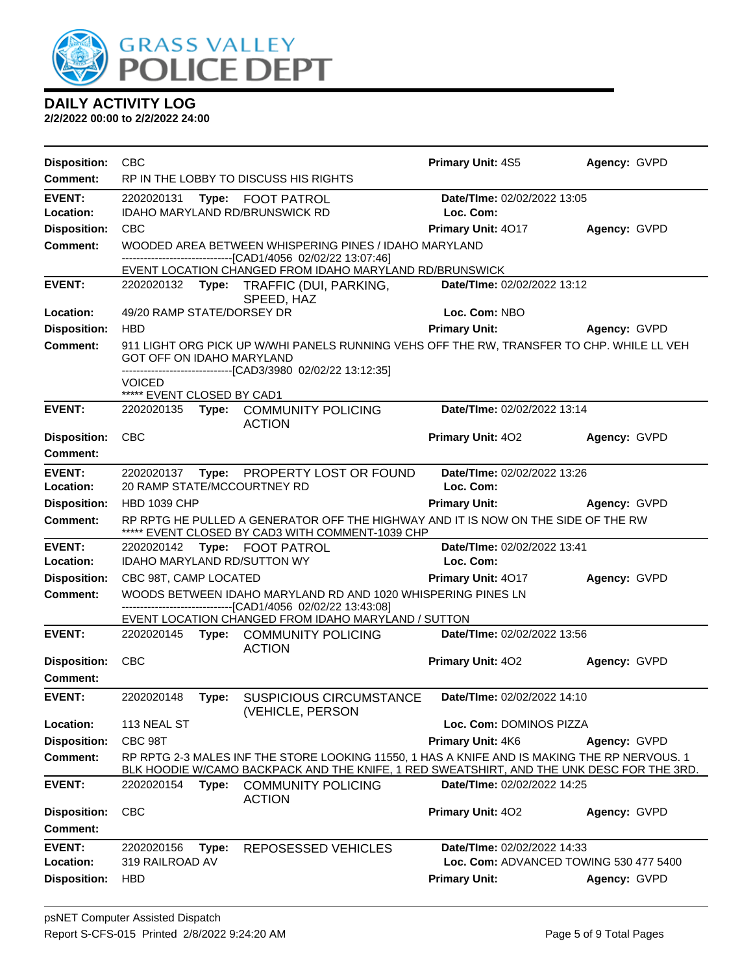

| <b>Disposition:</b> | <b>CBC</b>                         |       |                                                                                                                                                                                           | <b>Primary Unit: 4S5</b>           | Agency: GVPD                           |
|---------------------|------------------------------------|-------|-------------------------------------------------------------------------------------------------------------------------------------------------------------------------------------------|------------------------------------|----------------------------------------|
| <b>Comment:</b>     |                                    |       | RP IN THE LOBBY TO DISCUSS HIS RIGHTS                                                                                                                                                     |                                    |                                        |
| <b>EVENT:</b>       | 2202020131                         |       | Type: FOOT PATROL                                                                                                                                                                         | Date/TIme: 02/02/2022 13:05        |                                        |
| Location:           |                                    |       | IDAHO MARYLAND RD/BRUNSWICK RD                                                                                                                                                            | Loc. Com:                          |                                        |
| <b>Disposition:</b> | <b>CBC</b>                         |       |                                                                                                                                                                                           | Primary Unit: 4017                 | Agency: GVPD                           |
| <b>Comment:</b>     |                                    |       | WOODED AREA BETWEEN WHISPERING PINES / IDAHO MARYLAND<br>-------------------------------[CAD1/4056 02/02/22 13:07:46]                                                                     |                                    |                                        |
|                     |                                    |       | EVENT LOCATION CHANGED FROM IDAHO MARYLAND RD/BRUNSWICK                                                                                                                                   |                                    |                                        |
| <b>EVENT:</b>       |                                    |       | 2202020132 Type: TRAFFIC (DUI, PARKING,                                                                                                                                                   | <b>Date/Time: 02/02/2022 13:12</b> |                                        |
| Location:           | 49/20 RAMP STATE/DORSEY DR         |       | SPEED, HAZ                                                                                                                                                                                | Loc. Com: NBO                      |                                        |
| <b>Disposition:</b> | <b>HBD</b>                         |       |                                                                                                                                                                                           | <b>Primary Unit:</b>               | Agency: GVPD                           |
| <b>Comment:</b>     | GOT OFF ON IDAHO MARYLAND          |       | 911 LIGHT ORG PICK UP W/WHI PANELS RUNNING VEHS OFF THE RW, TRANSFER TO CHP. WHILE LL VEH<br>-------------------------------[CAD3/3980 02/02/22 13:12:35]                                 |                                    |                                        |
|                     | <b>VOICED</b>                      |       |                                                                                                                                                                                           |                                    |                                        |
|                     | ***** EVENT CLOSED BY CAD1         |       |                                                                                                                                                                                           |                                    |                                        |
| <b>EVENT:</b>       |                                    |       | 2202020135 Type: COMMUNITY POLICING<br><b>ACTION</b>                                                                                                                                      | Date/TIme: 02/02/2022 13:14        |                                        |
| <b>Disposition:</b> | <b>CBC</b>                         |       |                                                                                                                                                                                           | <b>Primary Unit: 402</b>           | Agency: GVPD                           |
| <b>Comment:</b>     |                                    |       |                                                                                                                                                                                           |                                    |                                        |
| <b>EVENT:</b>       |                                    |       | 2202020137 Type: PROPERTY LOST OR FOUND                                                                                                                                                   | Date/TIme: 02/02/2022 13:26        |                                        |
| Location:           | 20 RAMP STATE/MCCOURTNEY RD        |       |                                                                                                                                                                                           | Loc. Com:                          |                                        |
| <b>Disposition:</b> | <b>HBD 1039 CHP</b>                |       |                                                                                                                                                                                           | <b>Primary Unit:</b>               | Agency: GVPD                           |
| <b>Comment:</b>     |                                    |       | RP RPTG HE PULLED A GENERATOR OFF THE HIGHWAY AND IT IS NOW ON THE SIDE OF THE RW<br>***** EVENT CLOSED BY CAD3 WITH COMMENT-1039 CHP                                                     |                                    |                                        |
| <b>EVENT:</b>       |                                    |       | 2202020142 Type: FOOT PATROL                                                                                                                                                              | Date/TIme: 02/02/2022 13:41        |                                        |
| Location:           | <b>IDAHO MARYLAND RD/SUTTON WY</b> |       |                                                                                                                                                                                           | Loc. Com:                          |                                        |
| <b>Disposition:</b> | CBC 98T, CAMP LOCATED              |       |                                                                                                                                                                                           | Primary Unit: 4017                 | Agency: GVPD                           |
| Comment:            |                                    |       | WOODS BETWEEN IDAHO MARYLAND RD AND 1020 WHISPERING PINES LN                                                                                                                              |                                    |                                        |
|                     |                                    |       | -------------------------------[CAD1/4056 02/02/22 13:43:08]<br>EVENT LOCATION CHANGED FROM IDAHO MARYLAND / SUTTON                                                                       |                                    |                                        |
| <b>EVENT:</b>       |                                    |       | 2202020145 Type: COMMUNITY POLICING<br><b>ACTION</b>                                                                                                                                      | Date/TIme: 02/02/2022 13:56        |                                        |
| <b>Disposition:</b> | <b>CBC</b>                         |       |                                                                                                                                                                                           | <b>Primary Unit: 402</b>           | Agency: GVPD                           |
| Comment:            |                                    |       |                                                                                                                                                                                           |                                    |                                        |
| <b>EVENT:</b>       | 2202020148                         | Type: | <b>SUSPICIOUS CIRCUMSTANCE</b><br>(VEHICLE, PERSON                                                                                                                                        | Date/TIme: 02/02/2022 14:10        |                                        |
| Location:           | 113 NEAL ST                        |       |                                                                                                                                                                                           | Loc. Com: DOMINOS PIZZA            |                                        |
| <b>Disposition:</b> | CBC 98T                            |       |                                                                                                                                                                                           | Primary Unit: 4K6                  | Agency: GVPD                           |
| <b>Comment:</b>     |                                    |       | RP RPTG 2-3 MALES INF THE STORE LOOKING 11550, 1 HAS A KNIFE AND IS MAKING THE RP NERVOUS. 1<br>BLK HOODIE W/CAMO BACKPACK AND THE KNIFE, 1 RED SWEATSHIRT, AND THE UNK DESC FOR THE 3RD. |                                    |                                        |
| <b>EVENT:</b>       | 2202020154                         | Type: | <b>COMMUNITY POLICING</b><br><b>ACTION</b>                                                                                                                                                | Date/TIme: 02/02/2022 14:25        |                                        |
| <b>Disposition:</b> | <b>CBC</b>                         |       |                                                                                                                                                                                           | Primary Unit: 402                  | Agency: GVPD                           |
| Comment:            |                                    |       |                                                                                                                                                                                           |                                    |                                        |
| <b>EVENT:</b>       | 2202020156                         | Type: | <b>REPOSESSED VEHICLES</b>                                                                                                                                                                | Date/TIme: 02/02/2022 14:33        |                                        |
| Location:           | 319 RAILROAD AV                    |       |                                                                                                                                                                                           |                                    | Loc. Com: ADVANCED TOWING 530 477 5400 |
| <b>Disposition:</b> | <b>HBD</b>                         |       |                                                                                                                                                                                           | <b>Primary Unit:</b>               | Agency: GVPD                           |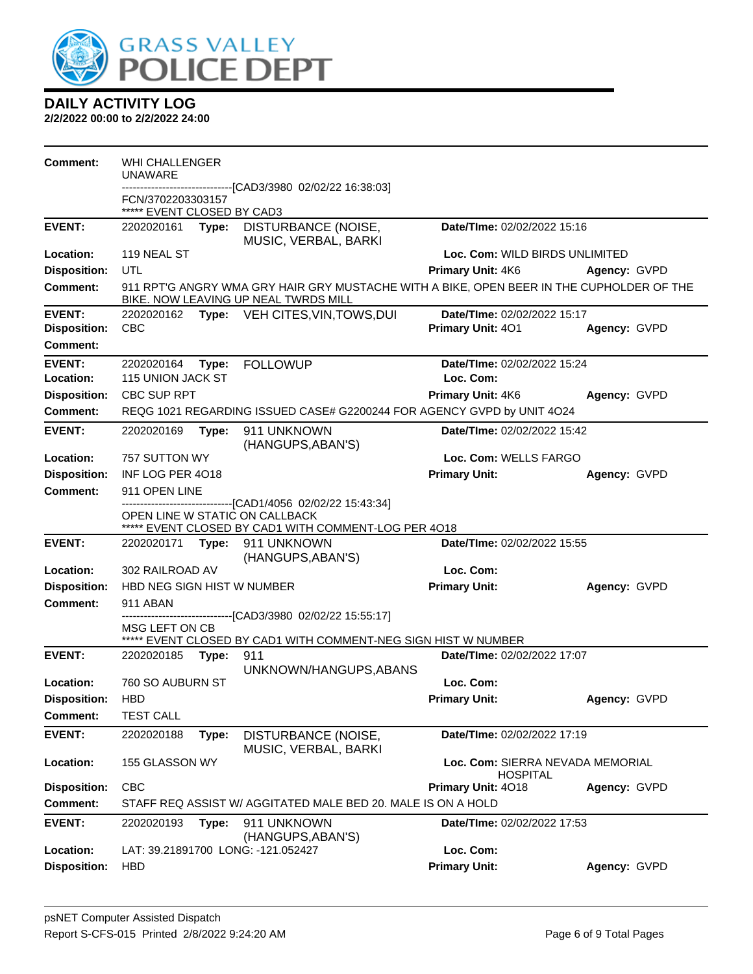

| Comment:            | <b>WHI CHALLENGER</b><br><b>UNAWARE</b>         |       |                                                                                                                                                       |                                                     |              |
|---------------------|-------------------------------------------------|-------|-------------------------------------------------------------------------------------------------------------------------------------------------------|-----------------------------------------------------|--------------|
|                     |                                                 |       | -------------------[CAD3/3980 02/02/22 16:38:03]                                                                                                      |                                                     |              |
|                     | FCN/3702203303157<br>***** EVENT CLOSED BY CAD3 |       |                                                                                                                                                       |                                                     |              |
| <b>EVENT:</b>       | 2202020161 <b>Type:</b>                         |       | DISTURBANCE (NOISE,<br>MUSIC, VERBAL, BARKI                                                                                                           | Date/TIme: 02/02/2022 15:16                         |              |
| Location:           | 119 NEAL ST                                     |       |                                                                                                                                                       | Loc. Com: WILD BIRDS UNLIMITED                      |              |
| <b>Disposition:</b> | UTL                                             |       |                                                                                                                                                       | Primary Unit: 4K6                                   | Agency: GVPD |
| <b>Comment:</b>     |                                                 |       | 911 RPT'G ANGRY WMA GRY HAIR GRY MUSTACHE WITH A BIKE, OPEN BEER IN THE CUPHOLDER OF THE<br>BIKE. NOW LEAVING UP NEAL TWRDS MILL                      |                                                     |              |
| <b>EVENT:</b>       | 2202020162                                      |       | <b>Type:</b> VEH CITES, VIN, TOWS, DUI                                                                                                                | Date/TIme: 02/02/2022 15:17                         |              |
| <b>Disposition:</b> | <b>CBC</b>                                      |       |                                                                                                                                                       | Primary Unit: 401                                   | Agency: GVPD |
| <b>Comment:</b>     |                                                 |       |                                                                                                                                                       |                                                     |              |
| <b>EVENT:</b>       | 2202020164                                      | Type: | <b>FOLLOWUP</b>                                                                                                                                       | Date/TIme: 02/02/2022 15:24                         |              |
| Location:           | 115 UNION JACK ST                               |       |                                                                                                                                                       | Loc. Com:                                           |              |
| <b>Disposition:</b> | <b>CBC SUP RPT</b>                              |       |                                                                                                                                                       | <b>Primary Unit: 4K6</b>                            | Agency: GVPD |
| <b>Comment:</b>     |                                                 |       | REQG 1021 REGARDING ISSUED CASE# G2200244 FOR AGENCY GVPD by UNIT 4O24                                                                                |                                                     |              |
| <b>EVENT:</b>       | 2202020169                                      | Type: | 911 UNKNOWN<br>(HANGUPS, ABAN'S)                                                                                                                      | Date/TIme: 02/02/2022 15:42                         |              |
| Location:           | 757 SUTTON WY                                   |       |                                                                                                                                                       | Loc. Com: WELLS FARGO                               |              |
| <b>Disposition:</b> | INF LOG PER 4018                                |       |                                                                                                                                                       | <b>Primary Unit:</b>                                | Agency: GVPD |
| <b>Comment:</b>     | 911 OPEN LINE                                   |       |                                                                                                                                                       |                                                     |              |
|                     |                                                 |       | ------------------------------[CAD1/4056 02/02/22 15:43:34]<br>OPEN LINE W STATIC ON CALLBACK<br>***** EVENT CLOSED BY CAD1 WITH COMMENT-LOG PER 4018 |                                                     |              |
| <b>EVENT:</b>       | 2202020171                                      |       | Type: 911 UNKNOWN<br>(HANGUPS, ABAN'S)                                                                                                                | Date/TIme: 02/02/2022 15:55                         |              |
| Location:           | 302 RAILROAD AV                                 |       |                                                                                                                                                       | Loc. Com:                                           |              |
| <b>Disposition:</b> | HBD NEG SIGN HIST W NUMBER                      |       |                                                                                                                                                       | <b>Primary Unit:</b>                                | Agency: GVPD |
| <b>Comment:</b>     | 911 ABAN                                        |       | ------------------[CAD3/3980_02/02/22 15:55:17]                                                                                                       |                                                     |              |
|                     | MSG LEFT ON CB                                  |       |                                                                                                                                                       |                                                     |              |
|                     |                                                 |       | ***** EVENT CLOSED BY CAD1 WITH COMMENT-NEG SIGN HIST W NUMBER                                                                                        |                                                     |              |
| <b>EVENT:</b>       | 2202020185                                      | Type: | 911<br>UNKNOWN/HANGUPS, ABANS                                                                                                                         | Date/TIme: 02/02/2022 17:07                         |              |
| Location:           | 760 SO AUBURN ST                                |       |                                                                                                                                                       | Loc. Com:                                           |              |
| <b>Disposition:</b> | <b>HBD</b>                                      |       |                                                                                                                                                       | <b>Primary Unit:</b>                                | Agency: GVPD |
| Comment:            | <b>TEST CALL</b>                                |       |                                                                                                                                                       |                                                     |              |
| <b>EVENT:</b>       | 2202020188                                      | Type: | DISTURBANCE (NOISE,<br>MUSIC, VERBAL, BARKI                                                                                                           | Date/TIme: 02/02/2022 17:19                         |              |
| Location:           | 155 GLASSON WY                                  |       |                                                                                                                                                       | Loc. Com: SIERRA NEVADA MEMORIAL<br><b>HOSPITAL</b> |              |
| <b>Disposition:</b> | <b>CBC</b>                                      |       |                                                                                                                                                       | Primary Unit: 4018                                  | Agency: GVPD |
| <b>Comment:</b>     |                                                 |       | STAFF REQ ASSIST W/ AGGITATED MALE BED 20. MALE IS ON A HOLD                                                                                          |                                                     |              |
| <b>EVENT:</b>       | 2202020193                                      | Type: | 911 UNKNOWN<br>(HANGUPS, ABAN'S)                                                                                                                      | Date/TIme: 02/02/2022 17:53                         |              |
| Location:           |                                                 |       | LAT: 39.21891700 LONG: -121.052427                                                                                                                    | Loc. Com:                                           |              |
| <b>Disposition:</b> | <b>HBD</b>                                      |       |                                                                                                                                                       | <b>Primary Unit:</b>                                | Agency: GVPD |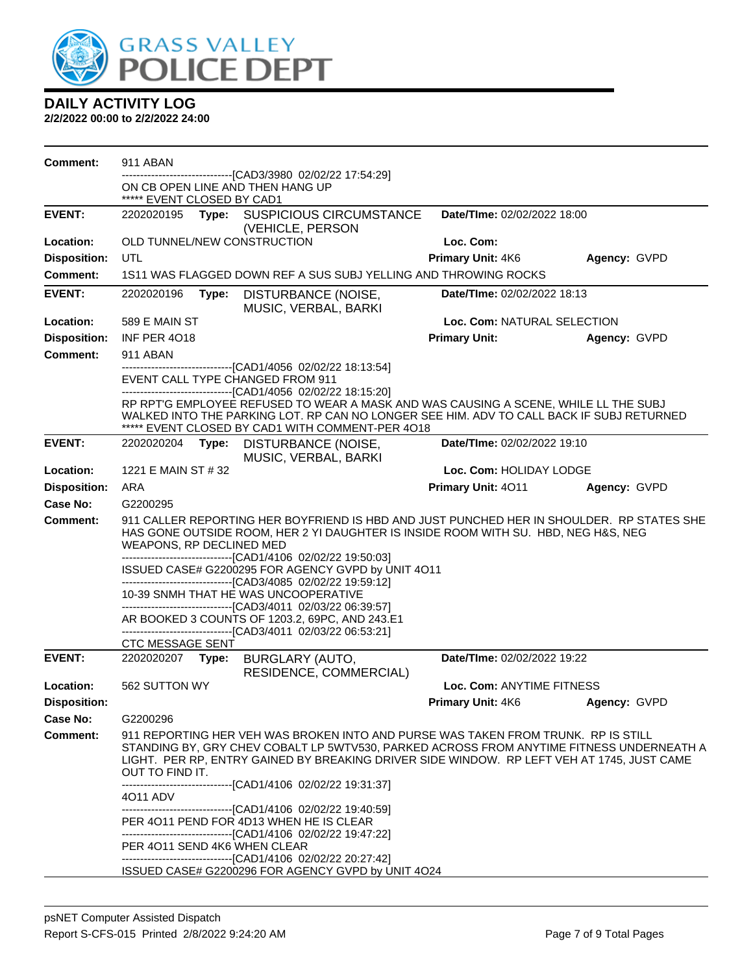

| <b>Comment:</b>     | 911 ABAN                                                                                                                                                                                                                                                                                                                                                      |                                |              |
|---------------------|---------------------------------------------------------------------------------------------------------------------------------------------------------------------------------------------------------------------------------------------------------------------------------------------------------------------------------------------------------------|--------------------------------|--------------|
|                     | ----------------[CAD3/3980_02/02/22_17:54:29]<br>ON CB OPEN LINE AND THEN HANG UP                                                                                                                                                                                                                                                                             |                                |              |
|                     | ***** EVENT CLOSED BY CAD1                                                                                                                                                                                                                                                                                                                                    |                                |              |
| <b>EVENT:</b>       | Type: SUSPICIOUS CIRCUMSTANCE<br>2202020195<br>(VEHICLE, PERSON                                                                                                                                                                                                                                                                                               | Date/TIme: 02/02/2022 18:00    |              |
| Location:           | OLD TUNNEL/NEW CONSTRUCTION                                                                                                                                                                                                                                                                                                                                   | Loc. Com:                      |              |
| <b>Disposition:</b> | UTL                                                                                                                                                                                                                                                                                                                                                           | <b>Primary Unit: 4K6</b>       | Agency: GVPD |
| <b>Comment:</b>     | 1S11 WAS FLAGGED DOWN REF A SUS SUBJ YELLING AND THROWING ROCKS                                                                                                                                                                                                                                                                                               |                                |              |
| <b>EVENT:</b>       | DISTURBANCE (NOISE,<br>2202020196<br>Type:                                                                                                                                                                                                                                                                                                                    | Date/TIme: 02/02/2022 18:13    |              |
|                     | MUSIC, VERBAL, BARKI                                                                                                                                                                                                                                                                                                                                          |                                |              |
| Location:           | 589 E MAIN ST                                                                                                                                                                                                                                                                                                                                                 | Loc. Com: NATURAL SELECTION    |              |
| <b>Disposition:</b> | INF PER 4018                                                                                                                                                                                                                                                                                                                                                  | <b>Primary Unit:</b>           | Agency: GVPD |
| <b>Comment:</b>     | 911 ABAN                                                                                                                                                                                                                                                                                                                                                      |                                |              |
|                     | ------------------------------[CAD1/4056 02/02/22 18:13:54]<br>EVENT CALL TYPE CHANGED FROM 911                                                                                                                                                                                                                                                               |                                |              |
|                     | -------------------------------[CAD1/4056 02/02/22 18:15:20]                                                                                                                                                                                                                                                                                                  |                                |              |
|                     | RP RPT'G EMPLOYEE REFUSED TO WEAR A MASK AND WAS CAUSING A SCENE, WHILE LL THE SUBJ                                                                                                                                                                                                                                                                           |                                |              |
|                     | WALKED INTO THE PARKING LOT. RP CAN NO LONGER SEE HIM. ADV TO CALL BACK IF SUBJ RETURNED<br>***** EVENT CLOSED BY CAD1 WITH COMMENT-PER 4018                                                                                                                                                                                                                  |                                |              |
| <b>EVENT:</b>       | 2202020204 Type: DISTURBANCE (NOISE,                                                                                                                                                                                                                                                                                                                          | Date/TIme: 02/02/2022 19:10    |              |
|                     | MUSIC, VERBAL, BARKI                                                                                                                                                                                                                                                                                                                                          |                                |              |
| Location:           | 1221 E MAIN ST # 32                                                                                                                                                                                                                                                                                                                                           | Loc. Com: HOLIDAY LODGE        |              |
| <b>Disposition:</b> | ARA                                                                                                                                                                                                                                                                                                                                                           | Primary Unit: 4011             | Agency: GVPD |
| <b>Case No:</b>     | G2200295                                                                                                                                                                                                                                                                                                                                                      |                                |              |
| <b>Comment:</b>     | 911 CALLER REPORTING HER BOYFRIEND IS HBD AND JUST PUNCHED HER IN SHOULDER. RP STATES SHE<br>HAS GONE OUTSIDE ROOM, HER 2 YI DAUGHTER IS INSIDE ROOM WITH SU. HBD, NEG H&S, NEG<br>WEAPONS, RP DECLINED MED                                                                                                                                                   |                                |              |
|                     | -------------------------------[CAD1/4106 02/02/22 19:50:03]<br>ISSUED CASE# G2200295 FOR AGENCY GVPD by UNIT 4O11                                                                                                                                                                                                                                            |                                |              |
|                     | ---------------------------------[CAD3/4085 02/02/22 19:59:12]                                                                                                                                                                                                                                                                                                |                                |              |
|                     | 10-39 SNMH THAT HE WAS UNCOOPERATIVE<br>-------------------------------[CAD3/4011 02/03/22 06:39:57]                                                                                                                                                                                                                                                          |                                |              |
|                     | AR BOOKED 3 COUNTS OF 1203.2, 69PC, AND 243.E1<br>------------------[CAD3/4011_02/03/22_06:53:21]                                                                                                                                                                                                                                                             |                                |              |
|                     | <b>CTC MESSAGE SENT</b>                                                                                                                                                                                                                                                                                                                                       |                                |              |
| <b>EVENT:</b>       | 2202020207 Type:<br>BURGLARY (AUTO,<br>RESIDENCE, COMMERCIAL)                                                                                                                                                                                                                                                                                                 | Date/TIme: 02/02/2022 19:22    |              |
| Location:           | 562 SUTTON WY                                                                                                                                                                                                                                                                                                                                                 | Loc. Com: ANYTIME FITNESS      |              |
| <b>Disposition:</b> |                                                                                                                                                                                                                                                                                                                                                               | Primary Unit: 4K6 Agency: GVPD |              |
| Case No:            | G2200296                                                                                                                                                                                                                                                                                                                                                      |                                |              |
| <b>Comment:</b>     | 911 REPORTING HER VEH WAS BROKEN INTO AND PURSE WAS TAKEN FROM TRUNK. RP IS STILL<br>STANDING BY, GRY CHEV COBALT LP 5WTV530, PARKED ACROSS FROM ANYTIME FITNESS UNDERNEATH A<br>LIGHT. PER RP, ENTRY GAINED BY BREAKING DRIVER SIDE WINDOW. RP LEFT VEH AT 1745, JUST CAME<br>OUT TO FIND IT.<br>------------------------------[CAD1/4106 02/02/22 19:31:37] |                                |              |
|                     | 4011 ADV                                                                                                                                                                                                                                                                                                                                                      |                                |              |
|                     | --------------------------------[CAD1/4106 02/02/22 19:40:59]<br>PER 4011 PEND FOR 4D13 WHEN HE IS CLEAR<br>-------------------------------[CAD1/4106 02/02/22 19:47:22]                                                                                                                                                                                      |                                |              |
|                     | PER 4011 SEND 4K6 WHEN CLEAR                                                                                                                                                                                                                                                                                                                                  |                                |              |
|                     | -------------------------------[CAD1/4106 02/02/22 20:27:42]<br>ISSUED CASE# G2200296 FOR AGENCY GVPD by UNIT 4O24                                                                                                                                                                                                                                            |                                |              |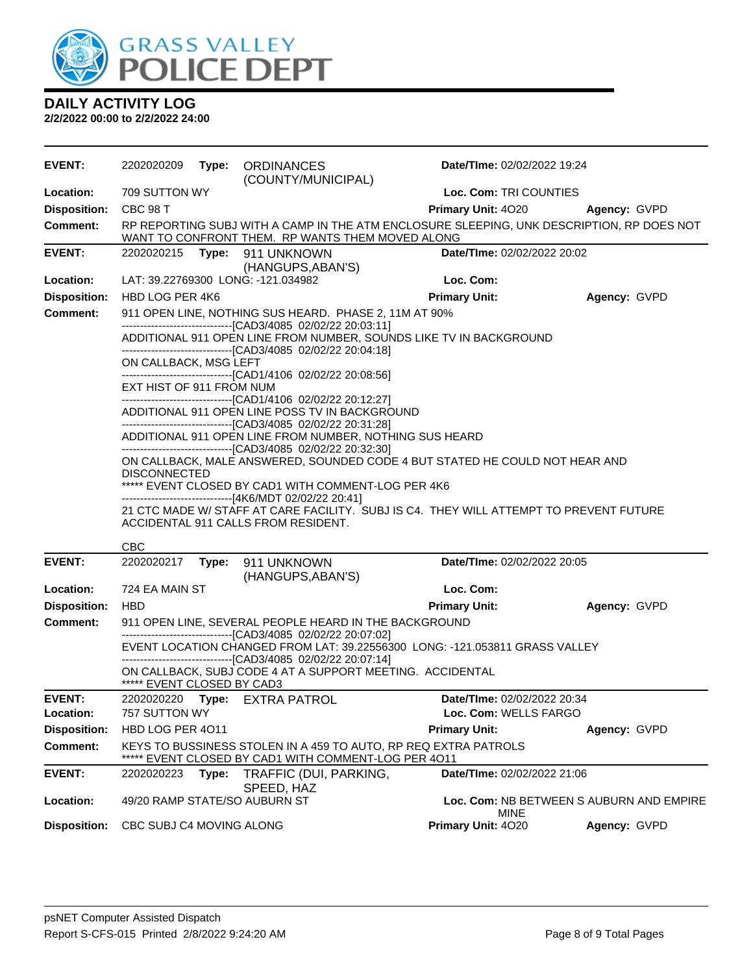

| <b>EVENT:</b>       | 2202020209                 |       | Type: ORDINANCES<br>(COUNTY/MUNICIPAL)                                                                                                            | Date/TIme: 02/02/2022 19:24 |                                          |
|---------------------|----------------------------|-------|---------------------------------------------------------------------------------------------------------------------------------------------------|-----------------------------|------------------------------------------|
| Location:           | 709 SUTTON WY              |       |                                                                                                                                                   | Loc. Com: TRI COUNTIES      |                                          |
| <b>Disposition:</b> | <b>CBC 98 T</b>            |       |                                                                                                                                                   | Primary Unit: 4020          | Agency: GVPD                             |
| Comment:            |                            |       | RP REPORTING SUBJ WITH A CAMP IN THE ATM ENCLOSURE SLEEPING, UNK DESCRIPTION, RP DOES NOT<br>WANT TO CONFRONT THEM. RP WANTS THEM MOVED ALONG     |                             |                                          |
| <b>EVENT:</b>       | 2202020215                 |       | Type: 911 UNKNOWN                                                                                                                                 | Date/TIme: 02/02/2022 20:02 |                                          |
| Location:           |                            |       | (HANGUPS, ABAN'S)<br>LAT: 39.22769300 LONG: -121.034982                                                                                           | Loc. Com:                   |                                          |
| <b>Disposition:</b> | HBD LOG PER 4K6            |       |                                                                                                                                                   | <b>Primary Unit:</b>        | Agency: GVPD                             |
| <b>Comment:</b>     |                            |       | 911 OPEN LINE, NOTHING SUS HEARD. PHASE 2, 11M AT 90%                                                                                             |                             |                                          |
|                     |                            |       | -------------------------------[CAD3/4085 02/02/22 20:03:11]                                                                                      |                             |                                          |
|                     |                            |       | ADDITIONAL 911 OPEN LINE FROM NUMBER, SOUNDS LIKE TV IN BACKGROUND                                                                                |                             |                                          |
|                     | ON CALLBACK, MSG LEFT      |       | -------------------------------[CAD3/4085 02/02/22 20:04:18]                                                                                      |                             |                                          |
|                     |                            |       | -------------------------------[CAD1/4106 02/02/22 20:08:56]                                                                                      |                             |                                          |
|                     | EXT HIST OF 911 FROM NUM   |       |                                                                                                                                                   |                             |                                          |
|                     |                            |       | -------------------------------[CAD1/4106 02/02/22 20:12:27]<br>ADDITIONAL 911 OPEN LINE POSS TV IN BACKGROUND                                    |                             |                                          |
|                     |                            |       | -------------------------------[CAD3/4085 02/02/22 20:31:28]                                                                                      |                             |                                          |
|                     |                            |       | ADDITIONAL 911 OPEN LINE FROM NUMBER, NOTHING SUS HEARD                                                                                           |                             |                                          |
|                     |                            |       | -------------------------------[CAD3/4085 02/02/22 20:32:30]<br>ON CALLBACK, MALE ANSWERED, SOUNDED CODE 4 BUT STATED HE COULD NOT HEAR AND       |                             |                                          |
|                     | <b>DISCONNECTED</b>        |       |                                                                                                                                                   |                             |                                          |
|                     |                            |       | ***** EVENT CLOSED BY CAD1 WITH COMMENT-LOG PER 4K6                                                                                               |                             |                                          |
|                     |                            |       | -------------------------------[4K6/MDT 02/02/22 20:41]<br>21 CTC MADE W/ STAFF AT CARE FACILITY. SUBJ IS C4. THEY WILL ATTEMPT TO PREVENT FUTURE |                             |                                          |
|                     |                            |       | ACCIDENTAL 911 CALLS FROM RESIDENT.                                                                                                               |                             |                                          |
|                     | <b>CBC</b>                 |       |                                                                                                                                                   |                             |                                          |
| <b>EVENT:</b>       | 2202020217                 |       | Type: 911 UNKNOWN                                                                                                                                 | Date/TIme: 02/02/2022 20:05 |                                          |
|                     |                            |       | (HANGUPS, ABAN'S)                                                                                                                                 |                             |                                          |
| Location:           | 724 EA MAIN ST             |       |                                                                                                                                                   | Loc. Com:                   |                                          |
| <b>Disposition:</b> | <b>HBD</b>                 |       |                                                                                                                                                   | <b>Primary Unit:</b>        | Agency: GVPD                             |
| <b>Comment:</b>     |                            |       | 911 OPEN LINE, SEVERAL PEOPLE HEARD IN THE BACKGROUND                                                                                             |                             |                                          |
|                     |                            |       | -------------------------------[CAD3/4085 02/02/22 20:07:02]<br>EVENT LOCATION CHANGED FROM LAT: 39.22556300 LONG: -121.053811 GRASS VALLEY       |                             |                                          |
|                     |                            |       | -------------------------[CAD3/4085 02/02/22 20:07:14]                                                                                            |                             |                                          |
|                     | ***** EVENT CLOSED BY CAD3 |       | ON CALLBACK, SUBJ CODE 4 AT A SUPPORT MEETING. ACCIDENTAL                                                                                         |                             |                                          |
| <b>EVENT:</b>       | 2202020220                 | Type: | <b>EXTRA PATROL</b>                                                                                                                               | Date/TIme: 02/02/2022 20:34 |                                          |
| Location:           | 757 SUTTON WY              |       |                                                                                                                                                   | Loc. Com: WELLS FARGO       |                                          |
| <b>Disposition:</b> | HBD LOG PER 4011           |       |                                                                                                                                                   | <b>Primary Unit:</b>        | Agency: GVPD                             |
| <b>Comment:</b>     |                            |       | KEYS TO BUSSINESS STOLEN IN A 459 TO AUTO, RP REQ EXTRA PATROLS<br>EVENT CLOSED BY CAD1 WITH COMMENT-LOG PER 4011                                 |                             |                                          |
| <b>EVENT:</b>       | 2202020223                 | Type: | TRAFFIC (DUI, PARKING,                                                                                                                            | Date/TIme: 02/02/2022 21:06 |                                          |
|                     |                            |       |                                                                                                                                                   |                             |                                          |
| Location:           |                            |       | SPEED, HAZ                                                                                                                                        |                             |                                          |
|                     |                            |       | 49/20 RAMP STATE/SO AUBURN ST                                                                                                                     | <b>MINE</b>                 | Loc. Com: NB BETWEEN S AUBURN AND EMPIRE |